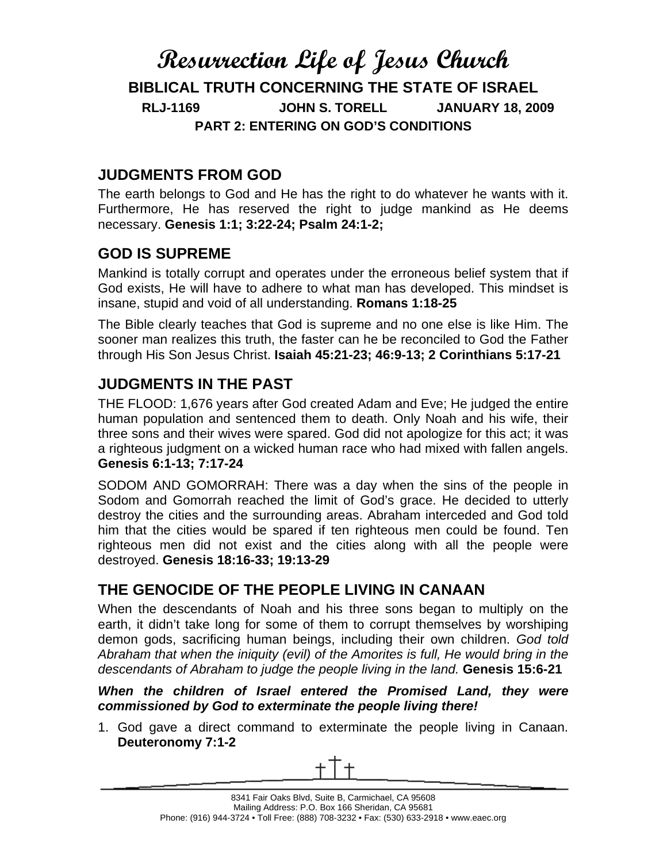# **Resurrection Life of Jesus Church BIBLICAL TRUTH CONCERNING THE STATE OF ISRAEL RLJ-1169 JOHN S. TORELL JANUARY 18, 2009 PART 2: ENTERING ON GOD'S CONDITIONS**

### **JUDGMENTS FROM GOD**

The earth belongs to God and He has the right to do whatever he wants with it. Furthermore, He has reserved the right to judge mankind as He deems necessary. **Genesis 1:1; 3:22-24; Psalm 24:1-2;**

#### **GOD IS SUPREME**

Mankind is totally corrupt and operates under the erroneous belief system that if God exists, He will have to adhere to what man has developed. This mindset is insane, stupid and void of all understanding. **Romans 1:18-25**

The Bible clearly teaches that God is supreme and no one else is like Him. The sooner man realizes this truth, the faster can he be reconciled to God the Father through His Son Jesus Christ. **Isaiah 45:21-23; 46:9-13; 2 Corinthians 5:17-21**

### **JUDGMENTS IN THE PAST**

THE FLOOD: 1,676 years after God created Adam and Eve; He judged the entire human population and sentenced them to death. Only Noah and his wife, their three sons and their wives were spared. God did not apologize for this act; it was a righteous judgment on a wicked human race who had mixed with fallen angels. **Genesis 6:1-13; 7:17-24**

SODOM AND GOMORRAH: There was a day when the sins of the people in Sodom and Gomorrah reached the limit of God's grace. He decided to utterly destroy the cities and the surrounding areas. Abraham interceded and God told him that the cities would be spared if ten righteous men could be found. Ten righteous men did not exist and the cities along with all the people were destroyed. **Genesis 18:16-33; 19:13-29**

### **THE GENOCIDE OF THE PEOPLE LIVING IN CANAAN**

When the descendants of Noah and his three sons began to multiply on the earth, it didn't take long for some of them to corrupt themselves by worshiping demon gods, sacrificing human beings, including their own children. *God told Abraham that when the iniquity (evil) of the Amorites is full, He would bring in the descendants of Abraham to judge the people living in the land.* **Genesis 15:6-21** 

#### *When the children of Israel entered the Promised Land, they were commissioned by God to exterminate the people living there!*

1. God gave a direct command to exterminate the people living in Canaan. **Deuteronomy 7:1-2**

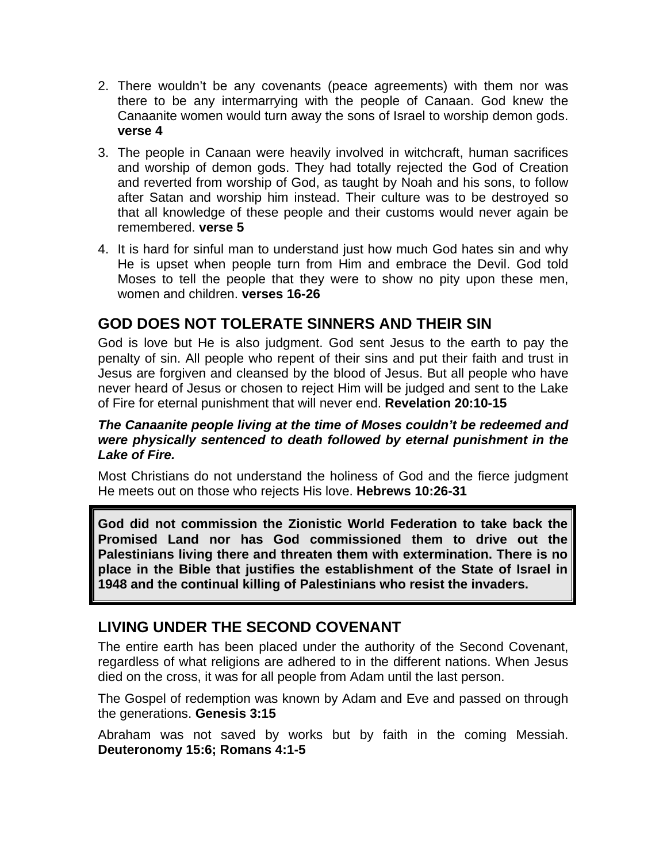- 2. There wouldn't be any covenants (peace agreements) with them nor was there to be any intermarrying with the people of Canaan. God knew the Canaanite women would turn away the sons of Israel to worship demon gods. **verse 4**
- 3. The people in Canaan were heavily involved in witchcraft, human sacrifices and worship of demon gods. They had totally rejected the God of Creation and reverted from worship of God, as taught by Noah and his sons, to follow after Satan and worship him instead. Their culture was to be destroyed so that all knowledge of these people and their customs would never again be remembered. **verse 5**
- 4. It is hard for sinful man to understand just how much God hates sin and why He is upset when people turn from Him and embrace the Devil. God told Moses to tell the people that they were to show no pity upon these men, women and children. **verses 16-26**

#### **GOD DOES NOT TOLERATE SINNERS AND THEIR SIN**

God is love but He is also judgment. God sent Jesus to the earth to pay the penalty of sin. All people who repent of their sins and put their faith and trust in Jesus are forgiven and cleansed by the blood of Jesus. But all people who have never heard of Jesus or chosen to reject Him will be judged and sent to the Lake of Fire for eternal punishment that will never end. **Revelation 20:10-15** 

#### *The Canaanite people living at the time of Moses couldn't be redeemed and were physically sentenced to death followed by eternal punishment in the Lake of Fire.*

Most Christians do not understand the holiness of God and the fierce judgment He meets out on those who rejects His love. **Hebrews 10:26-31**

**God did not commission the Zionistic World Federation to take back the Promised Land nor has God commissioned them to drive out the Palestinians living there and threaten them with extermination. There is no place in the Bible that justifies the establishment of the State of Israel in 1948 and the continual killing of Palestinians who resist the invaders.** 

#### **LIVING UNDER THE SECOND COVENANT**

The entire earth has been placed under the authority of the Second Covenant, regardless of what religions are adhered to in the different nations. When Jesus died on the cross, it was for all people from Adam until the last person.

The Gospel of redemption was known by Adam and Eve and passed on through the generations. **Genesis 3:15**

Abraham was not saved by works but by faith in the coming Messiah. **Deuteronomy 15:6; Romans 4:1-5**